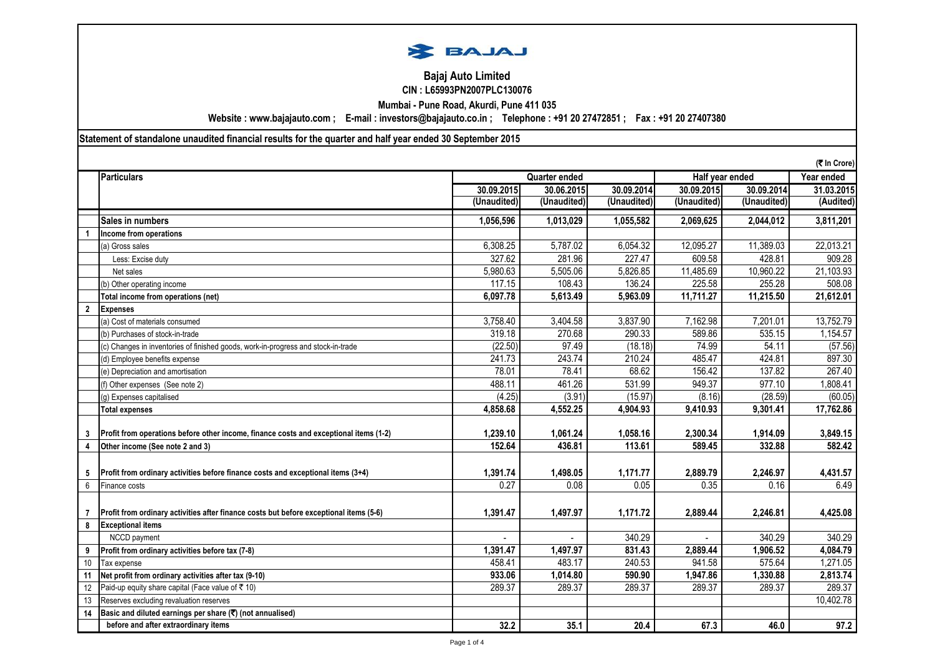

## **Bajaj Auto Limited CIN : L65993PN2007PLC130076**

**Mumbai - Pune Road, Akurdi, Pune 411 035**

**Website : www.bajajauto.com ; E-mail : investors@bajajauto.co.in ; Telephone : +91 20 27472851 ; Fax : +91 20 27407380**

**Statement of standalone unaudited financial results for the quarter and half year ended 30 September 2015**

|                |                                                                                        |             |                      |             |                | (そ In Crore)    |            |
|----------------|----------------------------------------------------------------------------------------|-------------|----------------------|-------------|----------------|-----------------|------------|
|                | <b>Particulars</b>                                                                     |             | <b>Quarter ended</b> |             |                | Half year ended | Year ended |
|                |                                                                                        | 30.09.2015  | 30.06.2015           | 30.09.2014  | 30.09.2015     | 30.09.2014      | 31.03.2015 |
|                |                                                                                        | (Unaudited) | (Unaudited)          | (Unaudited) | (Unaudited)    | (Unaudited)     | (Audited)  |
|                | Sales in numbers                                                                       | 1,056,596   | 1,013,029            | 1,055,582   | 2,069,625      | 2,044,012       | 3,811,201  |
|                | Income from operations                                                                 |             |                      |             |                |                 |            |
|                | (a) Gross sales                                                                        | 6,308.25    | 5,787.02             | 6,054.32    | 12,095.27      | 11,389.03       | 22,013.21  |
|                | Less: Excise duty                                                                      | 327.62      | 281.96               | 227.47      | 609.58         | 428.81          | 909.28     |
|                | Net sales                                                                              | 5,980.63    | 5,505.06             | 5,826.85    | 11,485.69      | 10,960.22       | 21,103.93  |
|                | (b) Other operating income                                                             | 117.15      | 108.43               | 136.24      | 225.58         | 255.28          | 508.08     |
|                | Total income from operations (net)                                                     | 6,097.78    | 5,613.49             | 5,963.09    | 11,711.27      | 11,215.50       | 21,612.01  |
| $\overline{2}$ | <b>Expenses</b>                                                                        |             |                      |             |                |                 |            |
|                | (a) Cost of materials consumed                                                         | 3,758.40    | 3,404.58             | 3,837.90    | 7,162.98       | 7,201.01        | 13,752.79  |
|                | (b) Purchases of stock-in-trade                                                        | 319.18      | 270.68               | 290.33      | 589.86         | 535.15          | 1,154.57   |
|                | (c) Changes in inventories of finished goods, work-in-progress and stock-in-trade      | (22.50)     | 97.49                | (18.18)     | 74.99          | 54.11           | (57.56)    |
|                | (d) Employee benefits expense                                                          | 241.73      | 243.74               | 210.24      | 485.47         | 424.81          | 897.30     |
|                | (e) Depreciation and amortisation                                                      | 78.01       | 78.41                | 68.62       | 156.42         | 137.82          | 267.40     |
|                | (f) Other expenses (See note 2)                                                        | 488.11      | 461.26               | 531.99      | 949.37         | 977.10          | 1,808.41   |
|                | (g) Expenses capitalised                                                               | (4.25)      | (3.91)               | (15.97)     | (8.16)         | (28.59)         | (60.05)    |
|                | <b>Total expenses</b>                                                                  | 4,858.68    | 4,552.25             | 4,904.93    | 9,410.93       | 9,301.41        | 17,762.86  |
|                |                                                                                        |             |                      |             |                |                 |            |
| 3              | Profit from operations before other income, finance costs and exceptional items (1-2)  | 1,239.10    | 1,061.24             | 1,058.16    | 2,300.34       | 1,914.09        | 3,849.15   |
| 4              | Other income (See note 2 and 3)                                                        | 152.64      | 436.81               | 113.61      | 589.45         | 332.88          | 582.42     |
|                |                                                                                        |             |                      |             |                |                 |            |
| 5              | Profit from ordinary activities before finance costs and exceptional items (3+4)       | 1,391.74    | 1,498.05             | 1,171.77    | 2,889.79       | 2,246.97        | 4,431.57   |
| $\,6\,$        | Finance costs                                                                          | 0.27        | 0.08                 | 0.05        | 0.35           | 0.16            | 6.49       |
|                |                                                                                        |             |                      |             |                |                 |            |
|                | Profit from ordinary activities after finance costs but before exceptional items (5-6) | 1.391.47    | 1,497.97             | 1,171.72    | 2,889.44       | 2,246.81        | 4,425.08   |
| 8              | <b>Exceptional items</b>                                                               |             |                      |             |                |                 |            |
|                | NCCD payment                                                                           |             |                      | 340.29      | $\overline{a}$ | 340.29          | 340.29     |
| 9              | Profit from ordinary activities before tax (7-8)                                       | 1,391.47    | 1,497.97             | 831.43      | 2,889.44       | 1,906.52        | 4,084.79   |
| 10             | Tax expense                                                                            | 458.41      | 483.17               | 240.53      | 941.58         | 575.64          | 1,271.05   |
| 11             | Net profit from ordinary activities after tax (9-10)                                   | 933.06      | 1,014.80             | 590.90      | 1,947.86       | 1,330.88        | 2,813.74   |
| 12             | Paid-up equity share capital (Face value of ₹10)                                       | 289.37      | 289.37               | 289.37      | 289.37         | 289.37          | 289.37     |
| 13             | Reserves excluding revaluation reserves                                                |             |                      |             |                |                 | 10,402.78  |
| 14             | Basic and diluted earnings per share (₹) (not annualised)                              |             |                      |             |                |                 |            |
|                | before and after extraordinary items                                                   | 32.2        | 35.1                 | 20.4        | 67.3           | 46.0            | 97.2       |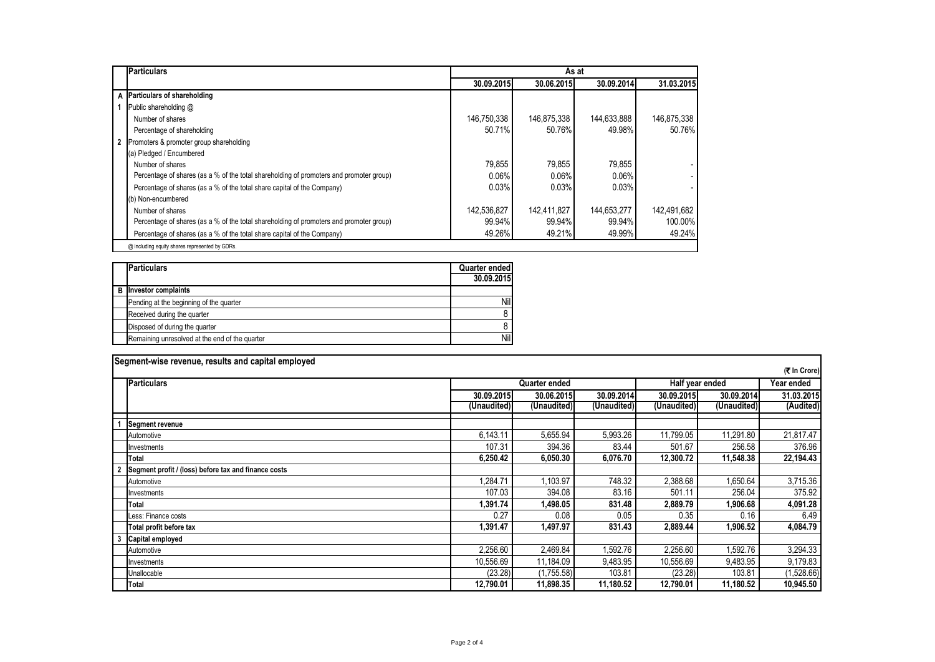|              | <b>Particulars</b>                                                                      | As at       |             |             |             |  |  |
|--------------|-----------------------------------------------------------------------------------------|-------------|-------------|-------------|-------------|--|--|
|              |                                                                                         | 30.09.2015  | 30.06.2015  | 30.09.2014  | 31.03.2015  |  |  |
|              | A Particulars of shareholding                                                           |             |             |             |             |  |  |
|              | Public shareholding @                                                                   |             |             |             |             |  |  |
|              | Number of shares                                                                        | 146,750,338 | 146,875,338 | 144,633,888 | 146,875,338 |  |  |
|              | Percentage of shareholding                                                              | 50.71%      | 50.76%      | 49.98%      | 50.76%      |  |  |
| $\mathbf{2}$ | Promoters & promoter group shareholding                                                 |             |             |             |             |  |  |
|              | (a) Pledged / Encumbered                                                                |             |             |             |             |  |  |
|              | Number of shares                                                                        | 79,855      | 79,855      | 79,855      |             |  |  |
|              | Percentage of shares (as a % of the total shareholding of promoters and promoter group) | 0.06%       | 0.06%       | 0.06%       |             |  |  |
|              | Percentage of shares (as a % of the total share capital of the Company)                 | 0.03%       | 0.03%       | 0.03%       |             |  |  |
|              | (b) Non-encumbered                                                                      |             |             |             |             |  |  |
|              | Number of shares                                                                        | 142,536,827 | 142,411,827 | 144,653,277 | 142,491,682 |  |  |
|              | Percentage of shares (as a % of the total shareholding of promoters and promoter group) | 99.94%      | 99.94%      | 99.94%      | 100.00%     |  |  |
|              | Percentage of shares (as a % of the total share capital of the Company)                 | 49.26%      | 49.21%      | 49.99%      | 49.24%      |  |  |
|              | @ including equity shares represented by GDRs.                                          |             |             |             |             |  |  |

| <b>Particulars</b>                             | Quarter ended<br>30.09.2015 |
|------------------------------------------------|-----------------------------|
| <b>B</b> Investor complaints                   |                             |
| Pending at the beginning of the quarter        | Nil                         |
| Received during the quarter                    | 8                           |
| Disposed of during the quarter                 |                             |
| Remaining unresolved at the end of the quarter | Nil                         |

| Segment-wise revenue, results and capital employed   |             |               |             |             |                 |              |  |
|------------------------------------------------------|-------------|---------------|-------------|-------------|-----------------|--------------|--|
|                                                      |             |               |             |             |                 | (₹ In Crore) |  |
| <b>Particulars</b>                                   |             | Quarter ended |             |             | Half year ended | Year ended   |  |
|                                                      | 30.09.2015  | 30.06.2015    | 30.09.2014  | 30.09.2015  | 30.09.2014      | 31.03.2015   |  |
|                                                      | (Unaudited) | (Unaudited)   | (Unaudited) | (Unaudited) | (Unaudited)     | (Audited)    |  |
| Segment revenue                                      |             |               |             |             |                 |              |  |
| Automotive                                           | 6,143.11    | 5,655.94      | 5,993.26    | 11,799.05   | 11,291.80       | 21,817.47    |  |
| Investments                                          | 107.31      | 394.36        | 83.44       | 501.67      | 256.58          | 376.96       |  |
| Total                                                | 6,250.42    | 6,050.30      | 6,076.70    | 12,300.72   | 11,548.38       | 22,194.43    |  |
| Segment profit / (loss) before tax and finance costs |             |               |             |             |                 |              |  |
| Automotive                                           | 1,284.71    | 1,103.97      | 748.32      | 2,388.68    | 1,650.64        | 3,715.36     |  |
| Investments                                          | 107.03      | 394.08        | 83.16       | 501.11      | 256.04          | 375.92       |  |
| Total                                                | 1,391.74    | 1,498.05      | 831.48      | 2,889.79    | 1,906.68        | 4,091.28     |  |
| Less: Finance costs                                  | 0.27        | 0.08          | 0.05        | 0.35        | 0.16            | 6.49         |  |
| Total profit before tax                              | 1,391.47    | 1,497.97      | 831.43      | 2,889.44    | 1,906.52        | 4,084.79     |  |
| <b>Capital employed</b>                              |             |               |             |             |                 |              |  |
| Automotive                                           | 2,256.60    | 2,469.84      | 1,592.76    | 2,256.60    | 1,592.76        | 3,294.33     |  |
| Investments                                          | 10.556.69   | 11,184.09     | 9,483.95    | 10,556.69   | 9,483.95        | 9,179.83     |  |
| Unallocable                                          | (23.28)     | (1,755.58)    | 103.81      | (23.28)     | 103.81          | (1,528.66)   |  |
| Total                                                | 12,790.01   | 11,898.35     | 11,180.52   | 12,790.01   | 11,180.52       | 10,945.50    |  |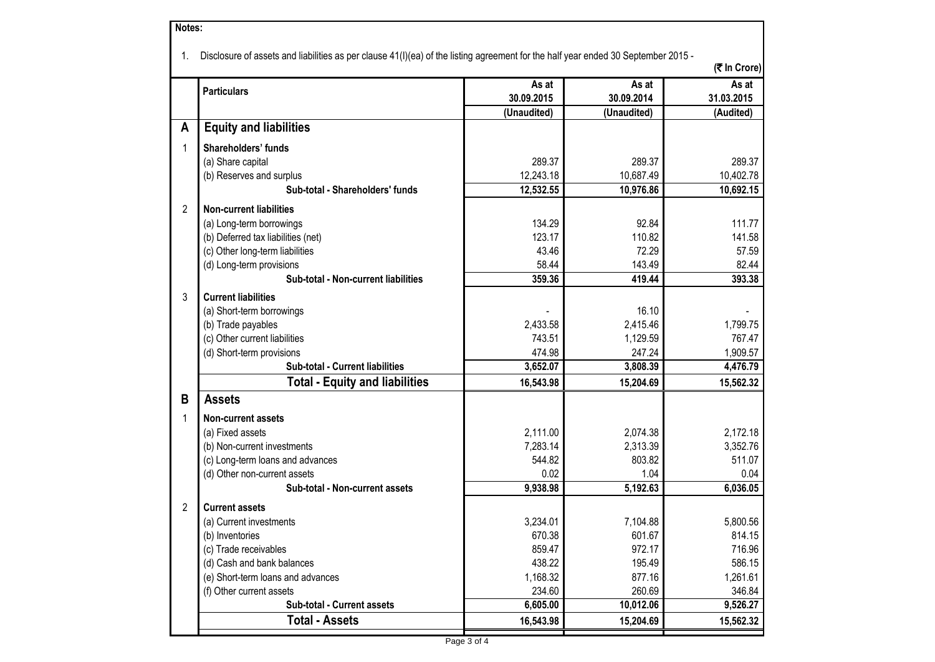| 1. | Disclosure of assets and liabilities as per clause 41(I)(ea) of the listing agreement for the half year ended 30 September 2015 - |                     |                     | (₹ In Crore)        |
|----|-----------------------------------------------------------------------------------------------------------------------------------|---------------------|---------------------|---------------------|
|    | <b>Particulars</b>                                                                                                                | As at<br>30.09.2015 | As at<br>30.09.2014 | As at<br>31.03.2015 |
| A  | <b>Equity and liabilities</b>                                                                                                     | (Unaudited)         | (Unaudited)         | (Audited)           |
|    |                                                                                                                                   |                     |                     |                     |
| 1  | Shareholders' funds                                                                                                               |                     |                     |                     |
|    | (a) Share capital                                                                                                                 | 289.37<br>12,243.18 | 289.37<br>10,687.49 | 289.37<br>10,402.78 |
|    | (b) Reserves and surplus<br>Sub-total - Shareholders' funds                                                                       | 12,532.55           | 10,976.86           | 10,692.15           |
|    |                                                                                                                                   |                     |                     |                     |
| 2  | <b>Non-current liabilities</b>                                                                                                    |                     |                     |                     |
|    | (a) Long-term borrowings                                                                                                          | 134.29              | 92.84               | 111.77              |
|    | (b) Deferred tax liabilities (net)                                                                                                | 123.17              | 110.82              | 141.58              |
|    | (c) Other long-term liabilities                                                                                                   | 43.46               | 72.29               | 57.59               |
|    | (d) Long-term provisions                                                                                                          | 58.44               | 143.49              | 82.44               |
|    | Sub-total - Non-current liabilities                                                                                               | 359.36              | 419.44              | 393.38              |
| 3  | <b>Current liabilities</b>                                                                                                        |                     |                     |                     |
|    | (a) Short-term borrowings                                                                                                         |                     | 16.10               |                     |
|    | (b) Trade payables                                                                                                                | 2,433.58            | 2,415.46            | 1,799.75            |
|    | (c) Other current liabilities                                                                                                     | 743.51              | 1,129.59            | 767.47              |
|    | (d) Short-term provisions                                                                                                         | 474.98              | 247.24              | 1,909.57            |
|    | Sub-total - Current liabilities                                                                                                   | 3,652.07            | 3,808.39            | 4,476.79            |
|    | <b>Total - Equity and liabilities</b>                                                                                             | 16,543.98           | 15,204.69           | 15,562.32           |
| B  | <b>Assets</b>                                                                                                                     |                     |                     |                     |
| 1  | <b>Non-current assets</b>                                                                                                         |                     |                     |                     |
|    | (a) Fixed assets                                                                                                                  | 2,111.00            | 2,074.38            | 2,172.18            |
|    | (b) Non-current investments                                                                                                       | 7,283.14            | 2,313.39            | 3,352.76            |
|    | (c) Long-term loans and advances                                                                                                  | 544.82              | 803.82              | 511.07              |
|    | (d) Other non-current assets                                                                                                      | 0.02                | 1.04                | 0.04                |
|    | Sub-total - Non-current assets                                                                                                    | 9,938.98            | 5,192.63            | 6,036.05            |
| 2  | <b>Current assets</b>                                                                                                             |                     |                     |                     |
|    | (a) Current investments                                                                                                           | 3,234.01            | 7,104.88            | 5,800.56            |
|    | (b) Inventories                                                                                                                   | 670.38              | 601.67              | 814.15              |
|    | (c) Trade receivables                                                                                                             | 859.47              | 972.17              | 716.96              |
|    | (d) Cash and bank balances                                                                                                        | 438.22              | 195.49              | 586.15              |
|    | (e) Short-term loans and advances                                                                                                 | 1,168.32            | 877.16              | 1,261.61            |
|    | (f) Other current assets                                                                                                          | 234.60              | 260.69              | 346.84              |
|    | Sub-total - Current assets                                                                                                        | 6,605.00            | 10,012.06           | 9,526.27            |
|    | <b>Total - Assets</b>                                                                                                             | 16,543.98           | 15,204.69           | 15,562.32           |